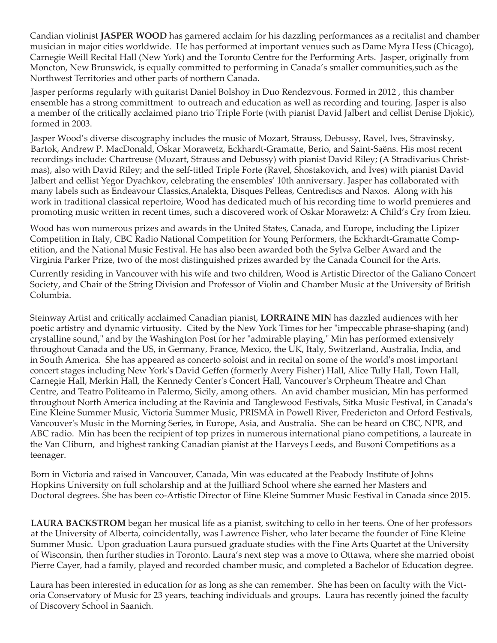Candian violinist **JASPER WOOD** has garnered acclaim for his dazzling performances as a recitalist and chamber musician in major cities worldwide. He has performed at important venues such as Dame Myra Hess (Chicago), Carnegie Weill Recital Hall (New York) and the Toronto Centre for the Performing Arts. Jasper, originally from Moncton, New Brunswick, is equally committed to performing in Canada's smaller communities,such as the Northwest Territories and other parts of northern Canada.

Jasper performs regularly with guitarist Daniel Bolshoy in Duo Rendezvous. Formed in 2012 , this chamber ensemble has a strong committment to outreach and education as well as recording and touring. Jasper is also a member of the critically acclaimed piano trio Triple Forte (with pianist David Jalbert and cellist Denise Djokic), formed in 2003.

Jasper Wood's diverse discography includes the music of Mozart, Strauss, Debussy, Ravel, Ives, Stravinsky, Bartok, Andrew P. MacDonald, Oskar Morawetz, Eckhardt-Gramatte, Berio, and Saint-Saëns. His most recent recordings include: Chartreuse (Mozart, Strauss and Debussy) with pianist David Riley; (A Stradivarius Christmas), also with David Riley; and the self-titled Triple Forte (Ravel, Shostakovich, and Ives) with pianist David Jalbert and cellist Yegor Dyachkov, celebrating the ensembles' 10th anniversary. Jasper has collaborated with many labels such as Endeavour Classics,Analekta, Disques Pelleas, Centrediscs and Naxos. Along with his work in traditional classical repertoire, Wood has dedicated much of his recording time to world premieres and promoting music written in recent times, such a discovered work of Oskar Morawetz: A Child's Cry from Izieu.

Wood has won numerous prizes and awards in the United States, Canada, and Europe, including the Lipizer Competition in Italy, CBC Radio National Competition for Young Performers, the Eckhardt-Gramatte Competition, and the National Music Festival. He has also been awarded both the Sylva Gelber Award and the Virginia Parker Prize, two of the most distinguished prizes awarded by the Canada Council for the Arts.

Currently residing in Vancouver with his wife and two children, Wood is Artistic Director of the Galiano Concert Society, and Chair of the String Division and Professor of Violin and Chamber Music at the University of British Columbia.

Steinway Artist and critically acclaimed Canadian pianist, **LORRAINE MIN** has dazzled audiences with her poetic artistry and dynamic virtuosity. Cited by the New York Times for her "impeccable phrase-shaping (and) crystalline sound," and by the Washington Post for her "admirable playing," Min has performed extensively throughout Canada and the US, in Germany, France, Mexico, the UK, Italy, Switzerland, Australia, India, and in South America. She has appeared as concerto soloist and in recital on some of the world's most important concert stages including New York's David Geffen (formerly Avery Fisher) Hall, Alice Tully Hall, Town Hall, Carnegie Hall, Merkin Hall, the Kennedy Center's Concert Hall, Vancouver's Orpheum Theatre and Chan Centre, and Teatro Politeamo in Palermo, Sicily, among others. An avid chamber musician, Min has performed throughout North America including at the Ravinia and Tanglewood Festivals, Sitka Music Festival, in Canada's Eine Kleine Summer Music, Victoria Summer Music, PRISMA in Powell River, Fredericton and Orford Festivals, Vancouver's Music in the Morning Series, in Europe, Asia, and Australia. She can be heard on CBC, NPR, and ABC radio. Min has been the recipient of top prizes in numerous international piano competitions, a laureate in the Van Cliburn, and highest ranking Canadian pianist at the Harveys Leeds, and Busoni Competitions as a teenager.

Born in Victoria and raised in Vancouver, Canada, Min was educated at the Peabody Institute of Johns Hopkins University on full scholarship and at the Juilliard School where she earned her Masters and Doctoral degrees. She has been co-Artistic Director of Eine Kleine Summer Music Festival in Canada since 2015.

**LAURA BACKSTROM** began her musical life as a pianist, switching to cello in her teens. One of her professors at the University of Alberta, coincidentally, was Lawrence Fisher, who later became the founder of Eine Kleine Summer Music. Upon graduation Laura pursued graduate studies with the Fine Arts Quartet at the University of Wisconsin, then further studies in Toronto. Laura's next step was a move to Ottawa, where she married oboist Pierre Cayer, had a family, played and recorded chamber music, and completed a Bachelor of Education degree.

Laura has been interested in education for as long as she can remember. She has been on faculty with the Victoria Conservatory of Music for 23 years, teaching individuals and groups. Laura has recently joined the faculty of Discovery School in Saanich.